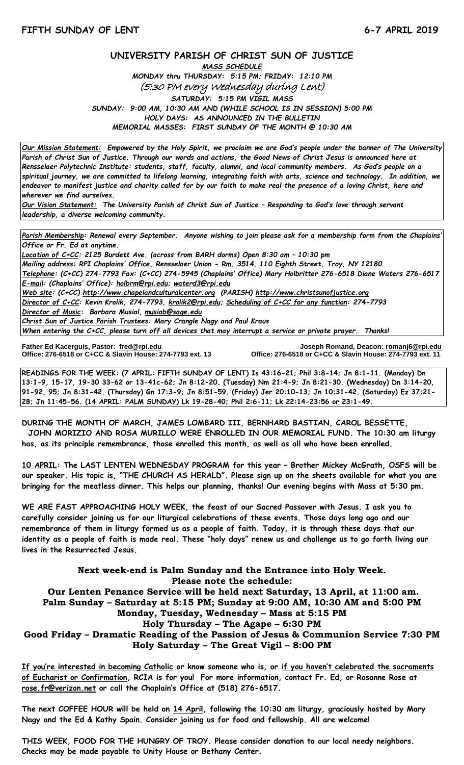## **UNIVERSITY PARISH OF CHRIST SUN OF JUSTICE**

*MASS SCHEDULE MONDAY thru THURSDAY: 5:15 PM; FRIDAY: 12:10 PM* (5:30 PM every Wednesday during Lent) *SATURDAY: 5:15 PM VIGIL MASS SUNDAY: 9:00 AM, 10:30 AM AND (WHILE SCHOOL IS IN SESSION) 5:00 PM HOLY DAYS: AS ANNOUNCED IN THE BULLETIN MEMORIAL MASSES: FIRST SUNDAY OF THE MONTH @ 10:30 AM*

*Our Mission Statement:**Empowered by the Holy Spirit, we proclaim we are God's people under the banner of The University Parish of Christ Sun of Justice. Through our words and actions, the Good News of Christ Jesus is announced here at Rensselaer Polytechnic Institute: students, staff, faculty, alumni, and local community members. As God's people on a spiritual journey, we are committed to lifelong learning, integrating faith with arts, science and technology. In addition, we endeavor to manifest justice and charity called for by our faith to make real the presence of a loving Christ, here and wherever we find ourselves.*

*Our Vision Statement: The University Parish of Christ Sun of Justice – Responding to God's love through servant leadership, a diverse welcoming community.*

*Parish Membership: Renewal every September. Anyone wishing to join please ask for a membership form from the Chaplains' Office or Fr. Ed at anytime.*

*Location of C+CC: 2125 Burdett Ave. (across from BARH dorms) Open 8:30 am – 10:30 pm Mailing address: RPI Chaplains' Office, Rensselaer Union - Rm. 3514, 110 Eighth Street, Troy, NY 12180 Telephone: (C+CC) 274-7793 Fax: (C+CC) 274-5945 (Chaplains' Office) Mary Holbritter 276-6518 Diane Waters 276-6517 E-mail: (Chaplains' Office): [holbrm@rpi.edu;](mailto:holbrm@rpi.edu) waterd3@rpi.edu Web site: (C+CC) [http://www.chapelandculturalcenter.org](http://www.chapelandculturalcenter.org/) (PARISH) http://www.christsunofjustice.org Director of C+CC: Kevin Krolik, 274-7793, krolik2@rpi.edu; Scheduling of C+CC for any function: 274-7793 Director of Music: Barbara Musial, [musiab@sage.edu](mailto:musiab@sage.edu) Christ Sun of Justice Parish Trustees: Mary Crangle Nagy and Paul Kraus When entering the C+CC, please turn off all devices that may interrupt a service or private prayer. Thanks!* 

İ

**Father Ed Kacerguis, Pastor: [fred@rpi.edu](mailto:fred@rpi.edu) Joseph Romand, Deacon[: romanj6@rpi.edu](mailto:romanj6@rpi.edu) Office: 276-6518 or C+CC & Slavin House: 274-7793 ext. 13 Office: 276-6518 or C+CC & Slavin House: 274-7793 ext. 11**

**READINGS FOR THE WEEK: (7 APRIL: FIFTH SUNDAY OF LENT) Is 43:16-21; Phil 3:8-14; Jn 8:1-11. (Monday) Dn 13:1-9, 15-17, 19-30 33-62 or 13-41c-62; Jn 8:12-20. (Tuesday) Nm 21:4-9; Jn 8:21-30. (Wednesday) Dn 3:14-20, 91-92, 95; Jn 8:31-42. (Thursday) Gn 17:3-9; Jn 8:51-59. (Friday) Jer 20:10-13; Jn 10:31-42. (Saturday) Ez 37:21- 28; Jn 11:45-56. (14 APRIL: PALM SUNDAY) Lk 19-28-40; Phil 2:6-11; Lk 22:14-23:56 or 23:1-49.**

**DURING THE MONTH OF MARCH, JAMES LOMBARD III, BERNHARD BASTIAN, CAROL BESSETTE,**

 **JOHN MORIZIO AND ROSA MURILLO WERE ENROLLED IN OUR MEMORIAL FUND. The 10:30 am liturgy has, as its principle remembrance, those enrolled this month, as well as all who have been enrolled.**

**10 APRIL: The LAST LENTEN WEDNESDAY PROGRAM for this year – Brother Mickey McGrath, OSFS will be our speaker. His topic is, "THE CHURCH AS HERALD". Please sign up on the sheets available for what you are bringing for the meatless dinner. This helps our planning, thanks! Our evening begins with Mass at 5:30 pm.** 

**WE ARE FAST APPROACHING HOLY WEEK, the feast of our Sacred Passover with Jesus. I ask you to carefully consider joining us for our liturgical celebrations of these events. Those days long ago and our remembrance of them in liturgy formed us as a people of faith. Today, it is through these days that our identity as a people of faith is made real. These "holy days" renew us and challenge us to go forth living our lives in the Resurrected Jesus.**

**Next week-end is Palm Sunday and the Entrance into Holy Week. Please note the schedule: Our Lenten Penance Service will be held next Saturday, 13 April, at 11:00 am. Palm Sunday – Saturday at 5:15 PM; Sunday at 9:00 AM, 10:30 AM and 5:00 PM Monday, Tuesday, Wednesday – Mass at 5:15 PM Holy Thursday – The Agape – 6:30 PM Good Friday – Dramatic Reading of the Passion of Jesus & Communion Service 7:30 PM Holy Saturday – The Great Vigil – 8:00 PM**

**If you're interested in becoming Catholic or know someone who is, or if you haven't celebrated the sacraments of Eucharist or Confirmation, RCIA is for you! For more information, contact Fr. Ed, or Rosanne Rose at [rose.fr@verizon.net](mailto:rose.fr@verizon.net) or call the Chaplain's Office at (518) 276-6517.**

**The next COFFEE HOUR will be held on 14 April, following the 10:30 am liturgy, graciously hosted by Mary Nagy and the Ed & Kathy Spain. Consider joining us for food and fellowship. All are welcome!** 

**THIS WEEK, FOOD FOR THE HUNGRY OF TROY. Please consider donation to our local needy neighbors. Checks may be made payable to Unity House or Bethany Center.**